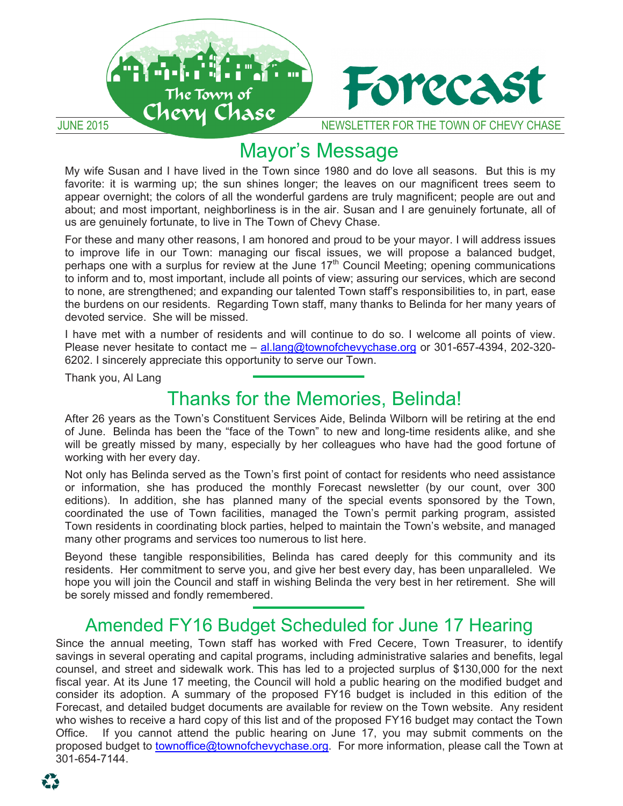

#### Mayor's Message  $m$  is  $m$  is  $n$  is  $n$  is  $n$  is  $n$  is  $n$  is  $n$  is  $n$  is  $n$  is  $n$  is  $n$  is  $n$  is  $n$  is  $n$  is  $n$  is  $n$  is  $n$  is  $n$  is  $n$  is  $n$  is  $n$  is  $n$  is  $n$  is  $n$  is  $n$  is  $n$  is  $n$  is  $n$  is  $n$  is  $n$  is  $n$   $M_{\rm H}$  in the Town since  $1980$  and  $1980$  and  $1980$  and  $1980$  and  $1980$  and  $1980$  and  $1980$  and  $1980$  and  $1980$  and  $1980$  and  $1980$  and  $1980$  and  $1980$  and  $1980$  and  $1980$  and  $1980$  and  $1980$  and  $1980$   $\mathsf{m}$  is induced to large up show  $\mathsf{m}$  shines seem to  $\mathsf{m}$

My wife Susan and I have lived in the Town since 1980 and do love all seasons. But this is my My wife Susan and I have lived in the Town since 1980 and do love all seasons. But this is my<br>favorite: it is warming up; the sun shines longer; the leaves on our magnificent trees seem to appear overnight; the colors of all the wonderful gardens are truly magnificent; people are out and about; and most important, neighborliness is in the air. Susan and I are genuinely fortunate, all of us are genuinely fortunate, to live in The Town of Chevy Chase. favorite: it is warming up; the sun shines longer; the leaves on our magnificent trees seem to<br>appear overnight; the colors of all the wonderful gardens are truly magnificent; people are out and<br>about; and most important, appear overnight: the colors of all the wonderful gardens are tru

For these and many other reasons, I am honored and proud to be your mayor. I will address issues to improve life in our Town: managing our fiscal issues, we will propose a balanced budget, to improve life in our Town: managing our fiscal issues, we will propose a balanced budget, perhaps one with a surplus for review at the June 17<sup>th</sup> Council Meeting; opening communications to inform and to, most important, include all points of view; assuring our services, which are second to none, are strengthened; and expanding our talented Town staff's responsibilities to, in part, ease the burdens on our residents. Regarding Town staff, many thanks to Belinda for her many years of devoted service. She will be missed.

I have met with a number of residents and will continue to do so. I welcome all points of view. I have met with a number of residents and will continue to do so. I welcome all points of view.<br>Please never hesitate to contact me – <u>al.lang@townofchevychase.org</u> or 301-657-4394, 202-320-6202. I sincerely appreciate this opportunity to serve our Town.<br>Thank you, Al Lang

Thank you, Al Lang

#### Thanks for the Memories, Belinda! Thanks for the Memories, Belinda! Thanks for the Memories, Belinda! **FITATIKS TOF THE IVIEHIOHES, DEIIHUA!**  $\tau_{\text{h}}$  and  $\tau_{\text{e}}$  is the  $\mu$  have and  $\tau_{\text{e}}$  Defined all seasons. finanks for the ivierhones, belinda!

After 26 years as the Town's Constituent Services Aide, Belinda Wilborn will be retiring at the end of June. Belinda has been the "face of the Town" to new and long-time residents alike, and she<br>will be greatly missed by many, especially by her colleagues who have had the good fortune of will be greatly missed by many, especially by her colleagues who have had the good fortune of<br>working with her every day. working with her every day. of June. Belinda has been the "face of the Town" to new and long-time residents alike, and she<br>will be greatly missed by many, especially by her colleagues who have had the good fortune of

Not only has Belinda served as the Town's first point of contact for residents who need assistance or information, she has produced the monthly Forecast newsletter (by our count, over 300 editions). In addition, she has planned many of the special events sponsored by the Town, coordinated the use of Town facilities, managed the Town's permit parking program, assisted coordinated the use of Town facilities, managed the Town's permit parking program, assisted<br>Town residents in coordinating block parties, helped to maintain the Town's website, and managed many other programs and services too numerous to list here. or information, she has produced the monthly Forecast newsletter (by our count, over 300<br>editions). In addition, she has planned many of the special events sponsored by the Town,<br>coordinated the use of Town facilities, man Town residents in coordinating block parties, helped to maintain the Town's website, and managed<br>many other programs and services too numerous to list here. editions). In addition, she has planned many of the special events sponsored by the Town.

Beyond these tangible responsibilities, Belinda has cared deeply for this community and its residents. Her commitment to serve you, and give her best every day, has been unparalleled. We hope you will join the Council and staff in wishing Belinda the very best in her retirement. She will be sorely missed and fondly remembered. Thank you will be sorely missed and fondly remembered.

### be sorely missed and fondly remembered. Amended FY16 Budget Scheduled for June 17 Hearing<br>the enable mediatry Taure at the Mess worked with Ford Cosses, Taure Treasurer, to it

savings in several operating and capital programs, including administrative salaries and benefits, legal counsel, and street and sidewalk work. This has led to a projected surplus of \$130,000 for the next counsel, and street and sluewalk work. This has led to a projected surplus of \$130,000 for the next<br>fiscal year. At its June 17 meeting, the Council will hold a public hearing on the modified budget and fiscal year. At its June 17 meeting, the Council will hold a public hearing on the modified budget and<br>consider its adoption. A summary of the proposed FY16 budget is included in this edition of the Forecast, and detailed budget documents are available for review on the Town website. Any resident Forecast, and detailed budget documents are available for review on the Town website. Any resident<br>who wishes to receive a hard copy of this list and of the proposed FY16 budget may contact the Town Office. If you cannot attend the public hearing on June 17, you may submit comments on the proposed budget to townoffice@townofchevychase.org. For more information, please call the Town at  $\frac{1}{20}$   $\frac{1}{20}$   $\frac{1}{44}$ ,  $\frac{1}{20}$ Since the annual meeting, Town staff has worked with Fred Cecere, Town Treasurer, to identify  $p_{\text{D}}$ proposed budget to townoffice@townofchevychase.org. For more information, please call the Town at 301-654-7144.  $301-654-7144.$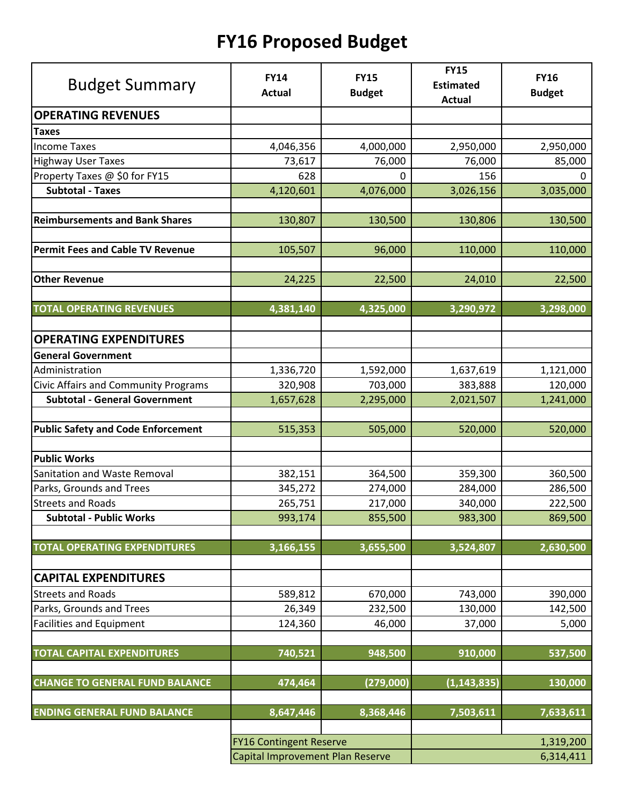# **FY16 Proposed Budget**

| <b>Budget Summary</b>                       | <b>FY14</b><br><b>Actual</b>     | <b>FY15</b><br><b>Budget</b> | <b>FY15</b><br><b>Estimated</b><br><b>Actual</b> | <b>FY16</b><br><b>Budget</b> |
|---------------------------------------------|----------------------------------|------------------------------|--------------------------------------------------|------------------------------|
| <b>OPERATING REVENUES</b>                   |                                  |                              |                                                  |                              |
| <b>Taxes</b>                                |                                  |                              |                                                  |                              |
| <b>Income Taxes</b>                         | 4,046,356                        | 4,000,000                    | 2,950,000                                        | 2,950,000                    |
| <b>Highway User Taxes</b>                   | 73,617                           | 76,000                       | 76,000                                           | 85,000                       |
| Property Taxes @ \$0 for FY15               | 628                              | 0                            | 156                                              | 0                            |
| <b>Subtotal - Taxes</b>                     | 4,120,601                        | 4,076,000                    | 3,026,156                                        | 3,035,000                    |
| <b>Reimbursements and Bank Shares</b>       | 130,807                          | 130,500                      | 130,806                                          | 130,500                      |
| <b>Permit Fees and Cable TV Revenue</b>     | 105,507                          | 96,000                       | 110,000                                          | 110,000                      |
| <b>Other Revenue</b>                        | 24,225                           | 22,500                       | 24,010                                           | 22,500                       |
| <b>TOTAL OPERATING REVENUES</b>             | 4,381,140                        | 4,325,000                    | 3,290,972                                        | 3,298,000                    |
| <b>OPERATING EXPENDITURES</b>               |                                  |                              |                                                  |                              |
| <b>General Government</b>                   |                                  |                              |                                                  |                              |
| Administration                              | 1,336,720                        | 1,592,000                    | 1,637,619                                        | 1,121,000                    |
| <b>Civic Affairs and Community Programs</b> | 320,908                          | 703,000                      | 383,888                                          | 120,000                      |
| <b>Subtotal - General Government</b>        | 1,657,628                        | 2,295,000                    | 2,021,507                                        | 1,241,000                    |
| <b>Public Safety and Code Enforcement</b>   | 515,353                          | 505,000                      | 520,000                                          | 520,000                      |
| <b>Public Works</b>                         |                                  |                              |                                                  |                              |
| Sanitation and Waste Removal                | 382,151                          | 364,500                      | 359,300                                          | 360,500                      |
| Parks, Grounds and Trees                    | 345,272                          | 274,000                      | 284,000                                          | 286,500                      |
| <b>Streets and Roads</b>                    | 265,751                          | 217,000                      | 340,000                                          | 222,500                      |
| <b>Subtotal - Public Works</b>              | 993,174                          | 855,500                      | 983,300                                          | 869,500                      |
| <b>TOTAL OPERATING EXPENDITURES</b>         | 3,166,155                        | 3,655,500                    | 3,524,807                                        | 2,630,500                    |
| <b>CAPITAL EXPENDITURES</b>                 |                                  |                              |                                                  |                              |
| <b>Streets and Roads</b>                    | 589,812                          | 670,000                      | 743,000                                          | 390,000                      |
| Parks, Grounds and Trees                    | 26,349                           | 232,500                      | 130,000                                          | 142,500                      |
| <b>Facilities and Equipment</b>             | 124,360                          | 46,000                       | 37,000                                           | 5,000                        |
| <b>TOTAL CAPITAL EXPENDITURES</b>           | 740,521                          | 948,500                      | 910,000                                          | 537,500                      |
| <b>CHANGE TO GENERAL FUND BALANCE</b>       | 474,464                          | (279,000)                    | (1, 143, 835)                                    | 130,000                      |
| <b>ENDING GENERAL FUND BALANCE</b>          | 8,647,446                        | 8,368,446                    | 7,503,611                                        | 7,633,611                    |
|                                             | <b>FY16 Contingent Reserve</b>   |                              |                                                  | 1,319,200                    |
|                                             | Capital Improvement Plan Reserve |                              | 6,314,411                                        |                              |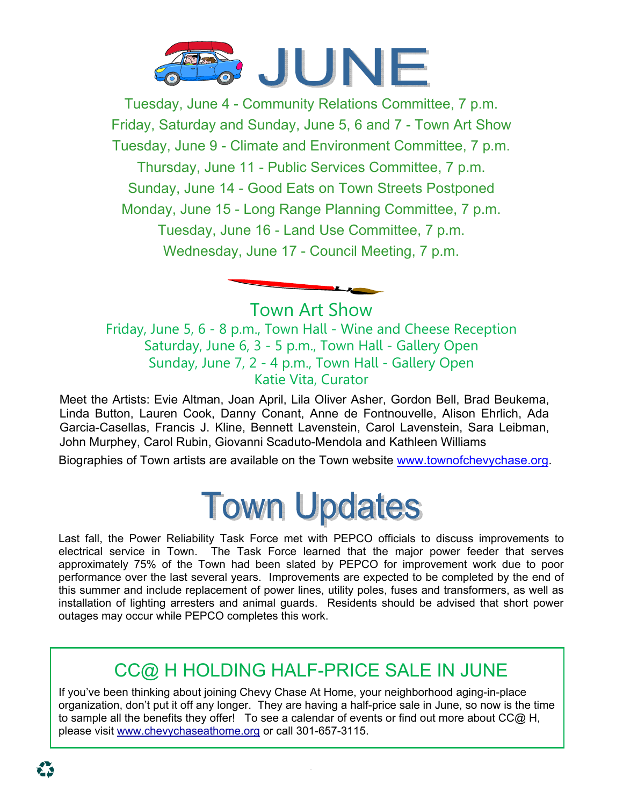

Tuesday, June 4 - Community Relations Committee, 7 p.m. Friday, Saturday and Sunday, June 5, 6 and 7 - Town Art Show Tuesday, June 9 - Climate and Environment Committee, 7 p.m. Thursday, June 11 - Public Services Committee, 7 p.m. Sunday, June 14 - Good Eats on Town Streets Postponed Monday, June 15 - Long Range Planning Committee, 7 p.m. Tuesday, June 16 - Land Use Committee, 7 p.m. Wednesday, June 17 - Council Meeting, 7 p.m.

Town Art Show Friday, June 5, 6 - 8 p.m., Town Hall - Wine and Cheese Reception Saturday, June 6, 3 - 5 p.m., Town Hall - Gallery Open Sunday, June 7, 2 - 4 p.m., Town Hall - Gallery Open Katie Vita, Curator

Meet the Artists: Evie Altman, Joan April, Lila Oliver Asher, Gordon Bell, Brad Beukema, Linda Button, Lauren Cook, Danny Conant, Anne de Fontnouvelle, Alison Ehrlich, Ada Garcia-Casellas, Francis J. Kline, Bennett Lavenstein, Carol Lavenstein, Sara Leibman, John Murphey, Carol Rubin, Giovanni Scaduto-Mendola and Kathleen Williams

Biographies of Town artists are available on the Town website www.townofchevychase.org.

# **Town Updates**

Last fall, the Power Reliability Task Force met with PEPCO officials to discuss improvements to electrical service in Town. The Task Force learned that the major power feeder that serves approximately 75% of the Town had been slated by PEPCO for improvement work due to poor performance over the last several years. Improvements are expected to be completed by the end of this summer and include replacement of power lines, utility poles, fuses and transformers, as well as installation of lighting arresters and animal guards. Residents should be advised that short power outages may occur while PEPCO completes this work.

# CC@ H HOLDING HALF-PRICE SALE IN JUNE

If you've been thinking about joining Chevy Chase At Home, your neighborhood aging-in-place organization, don't put it off any longer. They are having a half-price sale in June, so now is the time to sample all the benefits they offer! To see a calendar of events or find out more about CC@ H, please visit www.chevychaseathome.org or call 301-657-3115.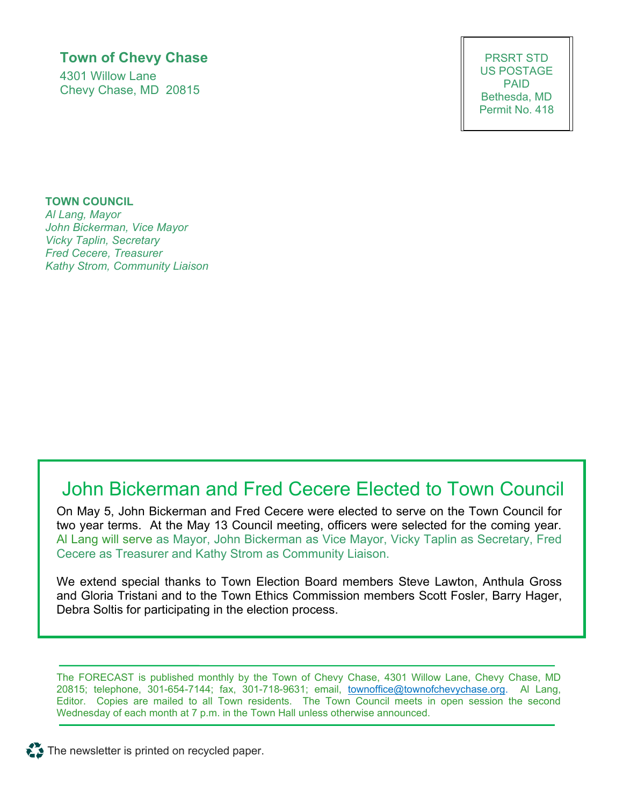### **Town of Chevy Chase**

4301 Willow Lane Chevy Chase, MD 20815

PRSRT STD US POSTAGE PAID Bethesda, MD Permit No. 418

**TOWN COUNCIL**  *Al Lang, Mayor John Bickerman, Vice Mayor Vicky Taplin, Secretary Fred Cecere, Treasurer Kathy Strom, Community Liaison* 

# John Bickerman and Fred Cecere Elected to Town Council

On May 5, John Bickerman and Fred Cecere were elected to serve on the Town Council for two year terms. At the May 13 Council meeting, officers were selected for the coming year. Al Lang will serve as Mayor, John Bickerman as Vice Mayor, Vicky Taplin as Secretary, Fred Cecere as Treasurer and Kathy Strom as Community Liaison.

We extend special thanks to Town Election Board members Steve Lawton, Anthula Gross and Gloria Tristani and to the Town Ethics Commission members Scott Fosler, Barry Hager, Debra Soltis for participating in the election process.

The FORECAST is published monthly by the Town of Chevy Chase, 4301 Willow Lane, Chevy Chase, MD 20815; telephone, 301-654-7144; fax, 301-718-9631; email, townoffice@townofchevychase.org. Al Lang, Editor. Copies are mailed to all Town residents. The Town Council meets in open session the second Wednesday of each month at 7 p.m. in the Town Hall unless otherwise announced.

 $\sum$  The newsletter is printed on recycled paper.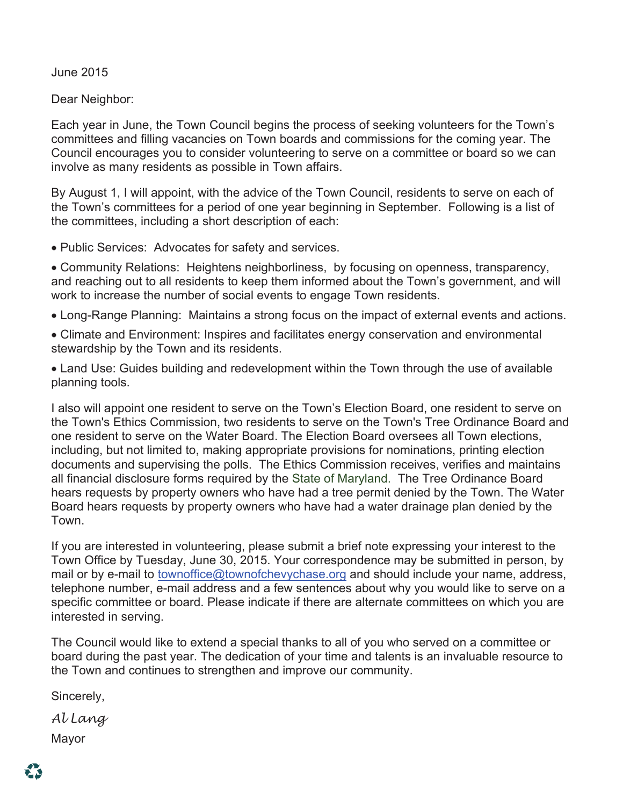June 2015

Dear Neighbor:

Each year in June, the Town Council begins the process of seeking volunteers for the Town's committees and filling vacancies on Town boards and commissions for the coming year. The Council encourages you to consider volunteering to serve on a committee or board so we can involve as many residents as possible in Town affairs.

By August 1, I will appoint, with the advice of the Town Council, residents to serve on each of the Town's committees for a period of one year beginning in September. Following is a list of the committees, including a short description of each:

Public Services: Advocates for safety and services.

 Community Relations: Heightens neighborliness, by focusing on openness, transparency, and reaching out to all residents to keep them informed about the Town's government, and will work to increase the number of social events to engage Town residents.

Long-Range Planning: Maintains a strong focus on the impact of external events and actions.

 Climate and Environment: Inspires and facilitates energy conservation and environmental stewardship by the Town and its residents.

 Land Use: Guides building and redevelopment within the Town through the use of available planning tools.

I also will appoint one resident to serve on the Town's Election Board, one resident to serve on the Town's Ethics Commission, two residents to serve on the Town's Tree Ordinance Board and one resident to serve on the Water Board. The Election Board oversees all Town elections, including, but not limited to, making appropriate provisions for nominations, printing election documents and supervising the polls. The Ethics Commission receives, verifies and maintains all financial disclosure forms required by the State of Maryland. The Tree Ordinance Board hears requests by property owners who have had a tree permit denied by the Town. The Water Board hears requests by property owners who have had a water drainage plan denied by the Town.

If you are interested in volunteering, please submit a brief note expressing your interest to the Town Office by Tuesday, June 30, 2015. Your correspondence may be submitted in person, by mail or by e-mail to townoffice@townofchevychase.org and should include your name, address, telephone number, e-mail address and a few sentences about why you would like to serve on a specific committee or board. Please indicate if there are alternate committees on which you are interested in serving.

The Council would like to extend a special thanks to all of you who served on a committee or board during the past year. The dedication of your time and talents is an invaluable resource to the Town and continues to strengthen and improve our community.

Sincerely,

*Al Lang*  Mayor